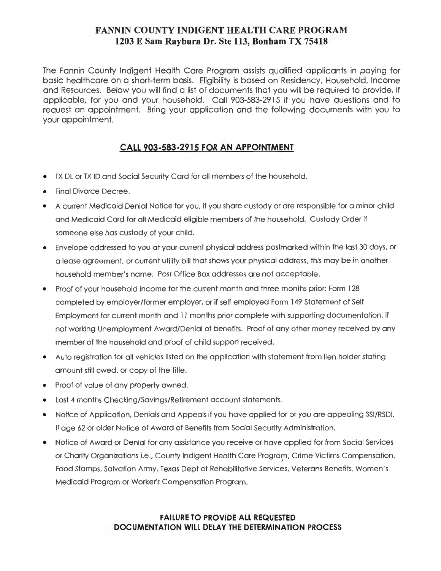## **FANNIN COUNTY INDIGENT HEALTH CARE PROGRAM 1203 E Sam Rayburn Dr. Ste 113, Bonham TX 75418**

The Fannin County Indigent Health Care Program assists qualified applicants in paying for basic healthcare on a short-term basis. Eligibility is based on Residency, Household, Income and Resources. Below you will find a list of documents that you will be required to provide, if applicable, for you and your household. Call 903-583-2915 if you have questions and to request an appointment. Bring your application and the following documents with you to your appointment.

## **CALL 903-583-2915 FOR AN APPOINTMENT**

- TX DL or TX ID and Social Security Card for all members of the household.
- Final Divorce Decree.
- A current Medicaid Denial Notice for you, if you share custody or are responsible for a minor child and Medicaid Card for all Medicaid eligible members of the household. Custody Order if someone else has custody of your child.
- Envelope addressed to you at your current physical address postmarked within the last 30 days, or a lease agreement, or current utility bill that shows your physical address, this may be in another household member's name. Post Office Box addresses are not acceptable.
- Proof of your household income for the current month and three months prior: Form 128 completed by employer/former employer, or if self employed Form 149 Statement of Self Employment for current month and 11 months prior complete with supporting documentation, if not working Unemployment Award/Denial of benefits. Proof of any other money received by any member of the household and proof of child support received.
- Auto registration for all vehicles listed on the application with statement from lien holder stating amount still owed, or copy of the title.
- Proof of value of any property owned.
- Last 4 months Checking/Savings/Retirement account statements.
- Notice of Application, Denials and Appeals if you have applied for or you are appealing SSI/RSDI. If age 62 or older Notice of Award of Benefits from Social Security Administration.
- Notice of Award or Denial for any assistance you receive or have applied for from Social Services or Charity Organizations i.e., County Indigent Health Care Program, Crime Victims Compensation, <sup>I</sup> Food Stamps, Salvation Army, Texas Dept of Rehabilitative Services, Veterans Benefits, Women's Medicaid Program or Worker's Compensation Program.

## **FAILURE TO PROVIDE ALL REQUESTED DOCUMENTATION WILL DELAY THE DETERMINATION PROCESS**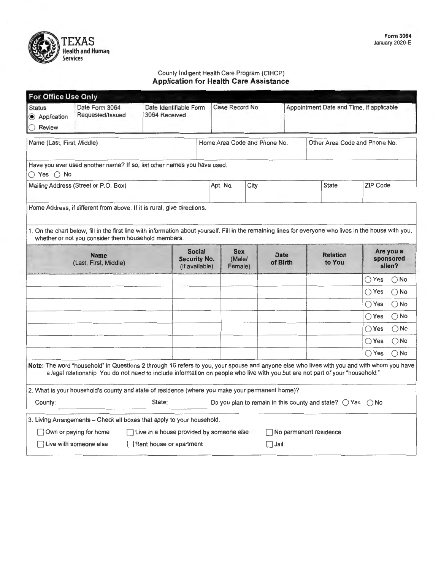

### County Indigent Health Care Program (CIHCP) **Application for Health Care Assistance**

| <b>For Office Use Only</b>             |                                                     |                                                                                                                                                                                                                                                                             |                                                        |                                 |      |                         |                                                                              |                 |                                  |
|----------------------------------------|-----------------------------------------------------|-----------------------------------------------------------------------------------------------------------------------------------------------------------------------------------------------------------------------------------------------------------------------------|--------------------------------------------------------|---------------------------------|------|-------------------------|------------------------------------------------------------------------------|-----------------|----------------------------------|
| <b>Status</b><br>Application<br>Review | Date Form 3064<br>Requested/Issued                  | Date Identifiable Form<br>3064 Received                                                                                                                                                                                                                                     |                                                        | Case Record No.                 |      |                         | Appointment Date and Time, if applicable                                     |                 |                                  |
| Name (Last, First, Middle)             |                                                     |                                                                                                                                                                                                                                                                             |                                                        | Home Area Code and Phone No.    |      |                         | Other Area Code and Phone No.                                                |                 |                                  |
| $\bigcirc$ Yes $\bigcirc$ No           |                                                     | Have you ever used another name? If so, list other names you have used.                                                                                                                                                                                                     |                                                        |                                 |      |                         |                                                                              |                 |                                  |
|                                        | Mailing Address (Street or P.O. Box)                |                                                                                                                                                                                                                                                                             |                                                        | Apt. No.                        | City |                         | <b>State</b>                                                                 | <b>ZIP Code</b> |                                  |
|                                        |                                                     | Home Address, if different from above. If it is rural, give directions.                                                                                                                                                                                                     |                                                        |                                 |      |                         |                                                                              |                 |                                  |
|                                        | whether or not you consider them household members. | 1. On the chart below, fill in the first line with information about yourself. Fill in the remaining lines for everyone who lives in the house with you,                                                                                                                    |                                                        |                                 |      |                         |                                                                              |                 |                                  |
|                                        | <b>Name</b><br>(Last, First, Middle)                |                                                                                                                                                                                                                                                                             | <b>Social</b><br><b>Security No.</b><br>(if available) | <b>Sex</b><br>(Male/<br>Female) |      | <b>Date</b><br>of Birth | <b>Relation</b><br>to You                                                    |                 | Are you a<br>sponsored<br>alien? |
|                                        |                                                     |                                                                                                                                                                                                                                                                             |                                                        |                                 |      |                         |                                                                              | $\bigcirc$ Yes  | $\bigcirc$ No                    |
|                                        |                                                     |                                                                                                                                                                                                                                                                             |                                                        |                                 |      |                         |                                                                              | $()$ Yes        | $\bigcirc$ No                    |
|                                        |                                                     |                                                                                                                                                                                                                                                                             |                                                        |                                 |      |                         |                                                                              | ◯ Yes           | $\bigcirc$ No                    |
|                                        |                                                     |                                                                                                                                                                                                                                                                             |                                                        |                                 |      |                         |                                                                              | ○ Yes           | $\bigcirc$ No                    |
|                                        |                                                     |                                                                                                                                                                                                                                                                             |                                                        |                                 |      |                         |                                                                              | ◯ Yes           | $\bigcirc$ No                    |
|                                        |                                                     |                                                                                                                                                                                                                                                                             |                                                        |                                 |      |                         |                                                                              | $\bigcirc$ Yes  | $\bigcirc$ No                    |
|                                        |                                                     |                                                                                                                                                                                                                                                                             |                                                        |                                 |      |                         |                                                                              | $\bigcirc$ Yes  | $\bigcirc$ No                    |
|                                        |                                                     | Note: The word "household" in Questions 2 through 16 refers to you, your spouse and anyone else who lives with you and with whom you have<br>a legal relationship. You do not need to include information on people who live with you but are not part of your "household." |                                                        |                                 |      |                         |                                                                              |                 |                                  |
|                                        |                                                     | 2. What is your household's county and state of residence (where you make your permanent home)?                                                                                                                                                                             |                                                        |                                 |      |                         |                                                                              |                 |                                  |
| County:                                |                                                     | State:                                                                                                                                                                                                                                                                      |                                                        |                                 |      |                         | Do you plan to remain in this county and state? $\bigcirc$ Yes $\bigcirc$ No |                 |                                  |
|                                        |                                                     | 3. Living Arrangements - Check all boxes that apply to your household.                                                                                                                                                                                                      |                                                        |                                 |      |                         |                                                                              |                 |                                  |
|                                        | Own or paying for home                              | Live in a house provided by someone else                                                                                                                                                                                                                                    |                                                        |                                 |      |                         | No permanent residence                                                       |                 |                                  |
|                                        | Live with someone else                              | Rent house or apartment                                                                                                                                                                                                                                                     |                                                        |                                 |      | Jail                    |                                                                              |                 |                                  |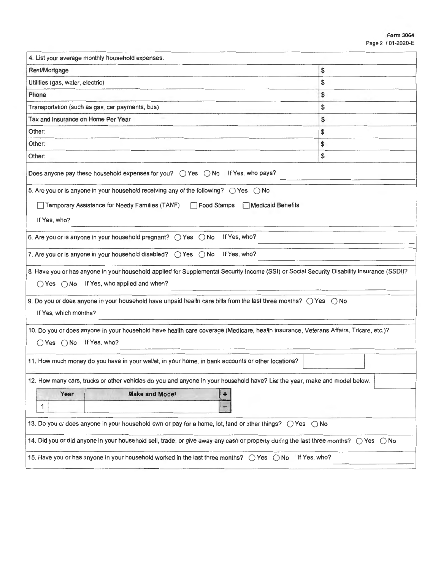| 4. List your average monthly household expenses.                                                                                                      |    |  |  |  |  |  |
|-------------------------------------------------------------------------------------------------------------------------------------------------------|----|--|--|--|--|--|
| Rent/Mortgage                                                                                                                                         | \$ |  |  |  |  |  |
| Utilities (gas, water, electric)                                                                                                                      | \$ |  |  |  |  |  |
| \$<br>Phone                                                                                                                                           |    |  |  |  |  |  |
| \$<br>Transportation (such as gas, car payments, bus)                                                                                                 |    |  |  |  |  |  |
| Tax and Insurance on Home Per Year                                                                                                                    | \$ |  |  |  |  |  |
| Other:                                                                                                                                                | \$ |  |  |  |  |  |
| \$<br>Other:                                                                                                                                          |    |  |  |  |  |  |
| \$<br>Other:                                                                                                                                          |    |  |  |  |  |  |
| Does anyone pay these household expenses for you? $\bigcirc$ Yes $\bigcirc$ No If Yes, who pays?                                                      |    |  |  |  |  |  |
| 5. Are you or is anyone in your household receiving any of the following? $\bigcirc$ Yes $\bigcirc$ No                                                |    |  |  |  |  |  |
| Temporary Assistance for Needy Families (TANF) Tood Stamps<br>Medicaid Benefits                                                                       |    |  |  |  |  |  |
| If Yes, who?                                                                                                                                          |    |  |  |  |  |  |
|                                                                                                                                                       |    |  |  |  |  |  |
| If Yes, who?<br>6. Are you or is anyone in your household pregnant? $\bigcirc$ Yes $\bigcirc$ No                                                      |    |  |  |  |  |  |
| If Yes, who?<br>7. Are you or is anyone in your household disabled? $\bigcirc$ Yes $\bigcirc$ No                                                      |    |  |  |  |  |  |
| 8. Have you or has anyone in your household applied for Supplemental Security Income (SSI) or Social Security Disability Insurance (SSDI)?            |    |  |  |  |  |  |
| ○ Yes ○ No If Yes, who applied and when?                                                                                                              |    |  |  |  |  |  |
|                                                                                                                                                       |    |  |  |  |  |  |
| 9. Do you or does anyone in your household have unpaid health care bills from the last three months? $\bigcirc$ Yes $\bigcirc$ No                     |    |  |  |  |  |  |
| If Yes, which months?                                                                                                                                 |    |  |  |  |  |  |
| 10. Do you or does anyone in your household have health care coverage (Medicare, health insurance, Veterans Affairs, Tricare, etc.)?                  |    |  |  |  |  |  |
| ○Yes ○No If Yes, who?                                                                                                                                 |    |  |  |  |  |  |
| 11. How much money do you have in your wallet, in your home, in bank accounts or other locations?                                                     |    |  |  |  |  |  |
| 12. How many cars, trucks or other vehicles do you and anyone in your household have? List the year, make and model below.                            |    |  |  |  |  |  |
| <b>Make and Model</b><br>Year                                                                                                                         |    |  |  |  |  |  |
| $\mathbf{1}$                                                                                                                                          |    |  |  |  |  |  |
| 13. Do you or does anyone in your household own or pay for a home, lot, land or other things? $\bigcirc$ Yes $\bigcirc$ No                            |    |  |  |  |  |  |
| 14. Did you or did anyone in your household sell, trade, or give away any cash or property during the last three months? $\bigcirc$ Yes $\bigcirc$ No |    |  |  |  |  |  |
| If Yes, who?<br>15. Have you or has anyone in your household worked in the last three months? $\bigcirc$ Yes $\bigcirc$ No                            |    |  |  |  |  |  |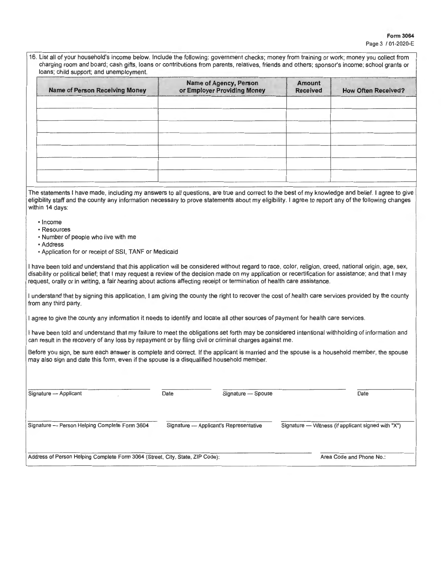16. List all of your household's income below. Include the following: government checks; money from training or work; money you collect from charging room and board ; cash gifts, loans or contributions from parents, relatives, friends and others; sponsor's income; school grants or loans; child support; and unemployment.

| <b>Name of Person Receiving Money</b> | <b>Name of Agency, Person</b><br>or Employer Providing Money | <b>Amount</b><br><b>Received</b> | <b>How Often Received?</b> |
|---------------------------------------|--------------------------------------------------------------|----------------------------------|----------------------------|
|                                       |                                                              |                                  |                            |
|                                       |                                                              |                                  |                            |
|                                       |                                                              |                                  |                            |
|                                       |                                                              |                                  |                            |
|                                       |                                                              |                                  |                            |
|                                       |                                                              |                                  |                            |
|                                       |                                                              |                                  |                            |

The statements I have made, including my answers to all questions, are true and correct to the best of my knowledge and belief. I agree to give eligibility staff and the county any information necessary to prove statements about my eligibility. I agree to report any of the following changes within 14 days:

- Income
- Resources
- Number of people who live with me
- Address
- Application for or receipt of SSI, TANF or Medicaid

I have been told and understand that this application will be considered without regard to race, color, religion, creed, national origin, age, sex, disability or political belief; that I may request a review of the decision made on my application or recertification for assistance; and that I may request, orally or in writing, a fair hearing about actions affecting receipt or termination of health care assistance.

I understand that by signing this application, I am giving the county the right to recover the cost of health care services provided by the county from any third party.

I agree to give the county any information it needs to identify and locate all other sources of payment for health care services.

I have been told and understand that my failure to meet the obligations set forth may be considered intentional withholding of information and can result in the recovery of any loss by repayment or by filing civil or criminal charges against me.

Before you sign, be sure each answer is complete and correct. If the applicant is married and the spouse is a household member, the spouse may also sign and date this form, even if the spouse is a disqualified household member.

| Signature - Applicant                                                         | Date | Signature - Spouse                     | Date                                               |
|-------------------------------------------------------------------------------|------|----------------------------------------|----------------------------------------------------|
| Signature - Person Helping Complete Form 3604                                 |      | Signature - Applicant's Representative | Signature — Witness (if applicant signed with "X") |
| Address of Person Helping Complete Form 3064 (Street, City, State, ZIP Code): |      |                                        | Area Code and Phone No.:                           |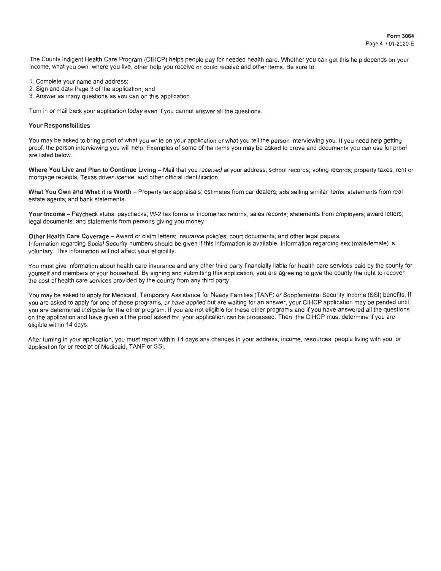The County Indigent Health Care Program (CIHCP) helps people pay for needed health care. Whether you can get this help depends on your income, what you own, where you live, other help you receive or could receive and other items. Be sure to:

- 1. Complete your name and address;
- 2. Sign and date Page 3 of the application; and
- 3. Answer as many questions as you can on this application.

Turn in or mail back your application today even if you cannot answer all the questions.

#### **Your Responsibilities**

You may be asked to bring proof of what you write on your application or what you tell the person interviewing you. If you need help getting proof, the person interviewing you will help. Examples of some of the items you may be asked to prove and documents you can use for proof are listed below.

Where You Live and Plan to Continue Living - Mail that you received at your address; school records; voting records; property taxes, rent or mortgage receipts; Texas driver license; and other official identification.

What You Own and What it is Worth - Property tax appraisals; estimates from car dealers; ads selling similar items; statements from real estate agents; and bank statements.

Your Income - Paycheck stubs; paychecks; W-2 tax forms or income tax returns; sales records; statements from employers; award letters; legal documents; and statements from persons giving you money.

Other Health Care Coverage - Award or claim letters; insurance policies; court documents; and other legal papers. Information regarding Social Security numbers should be given if this information is available. Information regarding sex (male/female) is voluntary. This information will not affect your eligibility.

You must give information about health care insurance and any other third party financially liable for health care services paid by the county for yourself and members of your household. By signing and submitting this application, you are agreeing to give the county the right to recover the cost of health care services provided by the county from any third party.

You may be asked to apply for Medicaid, Temporary Assistance for Needy Families (TANF) or Supplemental Security Income (SSI) benefits. If you are asked to apply for one of these programs, or have applied but are waiting for an answer, your CIHCP application may be pended until you are determined ineligible for the other program. If you are not eligible for these other programs and if you have answered all the questions on the application and have given all the proof asked for, your application can be processed. Then, the CIHCP must determine if you are eligible within 14 days.

After turning in your application, you must report within 14 days any changes in your address, income, resources, people living with you, or application for or receipt of Medicaid, TANF or SSI.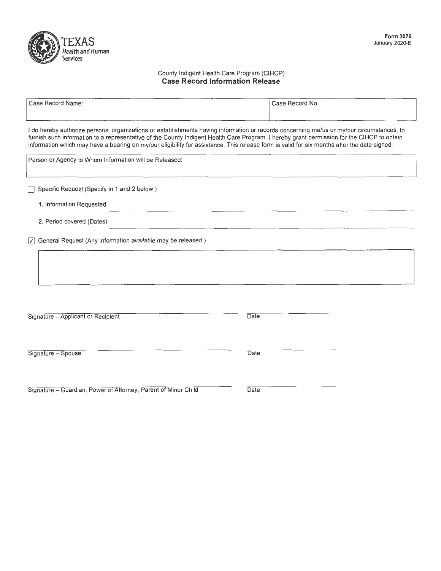

### County Indigent Health Care Program (CIHCP) **Case Record Information Release**

| Case Record Name:                                                                                                                                                                                                                                                                                                                                                                                                                      | Case Record No. |
|----------------------------------------------------------------------------------------------------------------------------------------------------------------------------------------------------------------------------------------------------------------------------------------------------------------------------------------------------------------------------------------------------------------------------------------|-----------------|
| I do hereby authorize persons, organizations or establishments having information or records concerning me/us or my/our circumstances, to<br>furnish such information to a representative of the County Indigent Health Care Program. I hereby grant permission for the CIHCP to obtain<br>information which may have a bearing on my/our eligibility for assistance. This release form is valid for six months after the date signed. |                 |
| Person or Agency to Whom Information will be Released:                                                                                                                                                                                                                                                                                                                                                                                 |                 |
| Specific Request (Specify in 1 and 2 below.)                                                                                                                                                                                                                                                                                                                                                                                           |                 |
| 1. Information Requested                                                                                                                                                                                                                                                                                                                                                                                                               |                 |
| 2. Period covered (Dates)                                                                                                                                                                                                                                                                                                                                                                                                              |                 |
| General Request (Any information available may be released.)<br>$ \mathcal{I} $                                                                                                                                                                                                                                                                                                                                                        |                 |
|                                                                                                                                                                                                                                                                                                                                                                                                                                        |                 |
| Signature - Applicant or Recipient                                                                                                                                                                                                                                                                                                                                                                                                     | Date            |
| Signature - Spouse                                                                                                                                                                                                                                                                                                                                                                                                                     | Date            |
| Signature - Guardian, Power of Attorney, Parent of Minor Child                                                                                                                                                                                                                                                                                                                                                                         | Date            |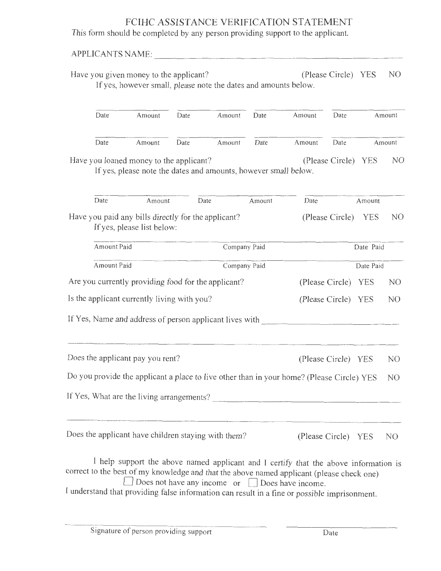# FCIHC ASSISTANCE VERIFICATION STATEMENT

This form should be completed by any person providing support to the applicant.

|                                             | Have you given money to the applicant?<br>If yes, however small, please note the dates and amounts below.                                                                                                                                        |      |        |              | (Please Circle) YES                                                                          |                     |            | N <sub>O</sub> |
|---------------------------------------------|--------------------------------------------------------------------------------------------------------------------------------------------------------------------------------------------------------------------------------------------------|------|--------|--------------|----------------------------------------------------------------------------------------------|---------------------|------------|----------------|
| Date                                        | Amount                                                                                                                                                                                                                                           | Date | Amount | Date         | Amount                                                                                       | Date                |            | Amount         |
| Date                                        | Amount                                                                                                                                                                                                                                           | Date | Amount | Date         | Amount                                                                                       | Date                |            | Amount         |
|                                             | Have you loaned money to the applicant?<br>If yes, please note the dates and amounts, however small below.                                                                                                                                       |      |        |              |                                                                                              | (Please Circle) YES |            | NO.            |
| Date                                        | Amount                                                                                                                                                                                                                                           | Date |        | Amount       | Date                                                                                         |                     | Amount     |                |
|                                             | Have you paid any bills directly for the applicant?<br>If yes, please list below:                                                                                                                                                                |      |        |              |                                                                                              | (Please Circle) YES |            | NO             |
| Amount Paid                                 |                                                                                                                                                                                                                                                  |      |        | Company Paid |                                                                                              |                     | Date Paid  |                |
| Amount Paid                                 |                                                                                                                                                                                                                                                  |      |        | Company Paid |                                                                                              |                     | Date Paid  |                |
|                                             | Are you currently providing food for the applicant?                                                                                                                                                                                              |      |        |              | (Please Circle)                                                                              |                     | YES        | NO             |
| Is the applicant currently living with you? |                                                                                                                                                                                                                                                  |      |        |              | (Please Circle) YES                                                                          |                     |            | N <sub>O</sub> |
|                                             | If Yes, Name and address of person applicant lives with                                                                                                                                                                                          |      |        |              |                                                                                              |                     |            |                |
|                                             | Does the applicant pay you rent?                                                                                                                                                                                                                 |      |        |              | (Please Circle)                                                                              |                     | <b>YES</b> | NO             |
|                                             | Do you provide the applicant a place to live other than in your home? (Please Circle) YES                                                                                                                                                        |      |        |              |                                                                                              |                     |            | NO             |
|                                             | If Yes, What are the living arrangements?                                                                                                                                                                                                        |      |        |              |                                                                                              |                     |            |                |
|                                             | Does the applicant have children staying with them?                                                                                                                                                                                              |      |        |              | (Please Circle) YES                                                                          |                     |            | NO             |
|                                             | I help support the above named applicant and I certify that the above information is<br>correct to the best of my knowledge and that the above named applicant (please check one)<br>$\Box$ Does not have any income or $\Box$ Does have income. |      |        |              | I understand that providing false information can result in a fine or possible imprisonment. |                     |            |                |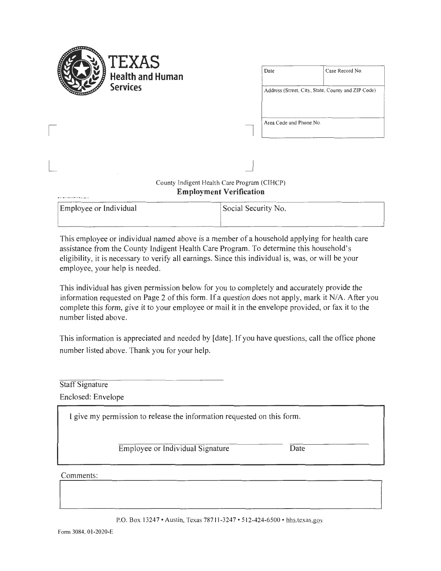| Date                    | Case Record No.                                    |
|-------------------------|----------------------------------------------------|
|                         | Address (Street, City, State, County and ZIP Code) |
|                         |                                                    |
|                         |                                                    |
| Area Code and Phone No. |                                                    |

## County Indigent Health Care Program (CIHCP) **Employment Verification**

7

 $\overline{\phantom{a}}$ 

| Employee or Individual | Social Security No. |
|------------------------|---------------------|
|                        |                     |

This employee or individual named above is a member of a household applying for health care assistance from the County Indigent Health Care Program. To determine this household's eligibility, it is necessary to verify all earnings. Since this individual is, was, or will be your employee, your help is needed.

This individual has given permission below for you to completely and accurately provide the information requested on Page 2 of this form. If a question does not apply, mark it  $N/A$ . After you complete this form, give it to your employee or mail it in the envelope provided, or fax it to the number listed above.

This information is appreciated and needed by [date]. If you have questions, call the office phone number listed above. Thank you for your help.

Staff Signature

 $\overline{\phantom{a}}$ 

<u>. . . . . . . . . . . . . . . . .</u> . .

Enclosed: Envelope

I give my permission to release the information requested on this form.

Employee or Individual Signature Date

Comments:

P.O. Box 13247 • Austin, Texas 78711-3247 • 512-424-6500 • hhs.texas.gov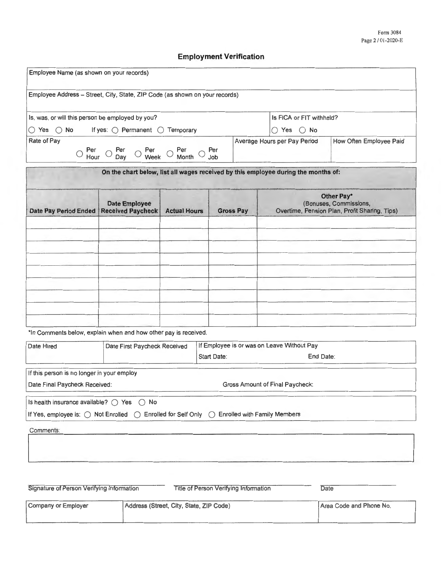## **Employment Verification**

| Employee Name (as shown on your records)                                                                               |                                                             |                     |                                              |                  |                                                                                    |                                                                                       |
|------------------------------------------------------------------------------------------------------------------------|-------------------------------------------------------------|---------------------|----------------------------------------------|------------------|------------------------------------------------------------------------------------|---------------------------------------------------------------------------------------|
| Employee Address - Street, City, State, ZIP Code (as shown on your records)                                            |                                                             |                     |                                              |                  |                                                                                    |                                                                                       |
| Is, was, or will this person be employed by you?                                                                       |                                                             |                     |                                              |                  | Is FICA or FIT withheld?                                                           |                                                                                       |
| $\bigcirc$ Yes $\bigcirc$ No                                                                                           | If yes: $\bigcirc$ Permanent $\bigcirc$ Temporary           |                     |                                              |                  | $\bigcirc$ Yes $\bigcirc$ No                                                       |                                                                                       |
| Rate of Pay                                                                                                            | $\bigcirc$ Per<br>Week<br>$\bigcirc$ Per $\bigcirc$ Per Bay | Per<br>Month        | Per<br>Job                                   |                  | Average Hours per Pay Period                                                       | How Often Employee Paid                                                               |
|                                                                                                                        |                                                             |                     |                                              |                  | On the chart below, list all wages received by this employee during the months of: |                                                                                       |
| Date Pay Period Ended   Received Paycheck                                                                              | Date Employee                                               | <b>Actual Hours</b> |                                              | <b>Gross Pay</b> |                                                                                    | Other Pay*<br>(Bonuses, Commissions,<br>Overtime, Pension Plan, Profit Sharing, Tips) |
|                                                                                                                        |                                                             |                     |                                              |                  |                                                                                    |                                                                                       |
|                                                                                                                        |                                                             |                     |                                              |                  |                                                                                    |                                                                                       |
|                                                                                                                        |                                                             |                     |                                              |                  |                                                                                    |                                                                                       |
|                                                                                                                        |                                                             |                     |                                              |                  |                                                                                    |                                                                                       |
|                                                                                                                        |                                                             |                     |                                              |                  |                                                                                    |                                                                                       |
|                                                                                                                        |                                                             |                     |                                              |                  |                                                                                    |                                                                                       |
| *In Comments below, explain when and how other pay is received.                                                        |                                                             |                     |                                              |                  |                                                                                    |                                                                                       |
| Date Hired                                                                                                             | Date First Paycheck Received                                |                     | Start Date:                                  |                  | If Employee is or was on Leave Without Pay<br>End Date:                            |                                                                                       |
|                                                                                                                        |                                                             |                     |                                              |                  |                                                                                    |                                                                                       |
| If this person is no longer in your employ<br>Date Final Paycheck Received:                                            |                                                             |                     |                                              |                  | <b>Gross Amount of Final Paycheck:</b>                                             |                                                                                       |
| Is health insurance available? () Yes                                                                                  | $\bigcirc$ No                                               |                     |                                              |                  |                                                                                    |                                                                                       |
| If Yes, employee is: $\bigcirc$ Not Enrolled $\bigcirc$ Enrolled for Self Only $\bigcirc$ Enrolled with Family Members |                                                             |                     |                                              |                  |                                                                                    |                                                                                       |
| Comments:                                                                                                              |                                                             |                     |                                              |                  |                                                                                    |                                                                                       |
|                                                                                                                        |                                                             |                     |                                              |                  |                                                                                    |                                                                                       |
|                                                                                                                        |                                                             |                     |                                              |                  |                                                                                    |                                                                                       |
| Signature of Person Venfying Information                                                                               |                                                             |                     | <b>Title of Person Verifying Information</b> |                  |                                                                                    | Date                                                                                  |

| Company or Employer | Address (Street, City, State, ZIP Code) | Area Code and Phone No. |
|---------------------|-----------------------------------------|-------------------------|
|                     |                                         |                         |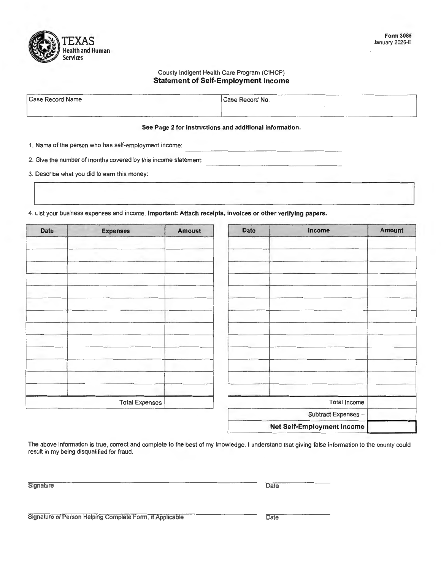

### County Indigent Health Care Program (CIHCP) **Statement of Self-Employment Income**

| Case Record Name | Case Record No. |  |
|------------------|-----------------|--|
|                  |                 |  |

### **See Page 2 for instructions and additional information.**

1. Name of the person who has self-employment income:

|  |  |  |  |  |  | 2. Give the number of months covered by this income statement: |  |
|--|--|--|--|--|--|----------------------------------------------------------------|--|
|--|--|--|--|--|--|----------------------------------------------------------------|--|

3. Describe what you did to earn this money:

4. List your business expenses and income. **Important: Attach receipts, invoices or other verifying papers.** 

| <b>Date</b>           | <b>Expenses</b> | Amount | Date                       | Income | Amount |  |
|-----------------------|-----------------|--------|----------------------------|--------|--------|--|
|                       |                 |        |                            |        |        |  |
|                       |                 |        |                            |        |        |  |
|                       |                 |        |                            |        |        |  |
|                       |                 |        |                            |        |        |  |
|                       |                 |        |                            |        |        |  |
|                       |                 |        |                            |        |        |  |
|                       |                 |        |                            |        |        |  |
|                       |                 |        |                            |        |        |  |
|                       |                 |        |                            |        |        |  |
|                       |                 |        |                            |        |        |  |
|                       |                 |        |                            |        |        |  |
|                       |                 |        |                            |        |        |  |
|                       |                 |        |                            |        |        |  |
|                       |                 |        |                            |        |        |  |
| <b>Total Expenses</b> |                 |        | Total Income               |        |        |  |
|                       |                 |        | Subtract Expenses -        |        |        |  |
|                       |                 |        | Net Self-Employment Income |        |        |  |

The above information is true, correct and complete to the best of my knowledge. I understand that giving false information to the county could result in my being disqualified for fraud.

Signature Date Date Date of the Contract of the Contract of the Date Date Date

Signature of Person Helping Complete Form, if Applicable Date